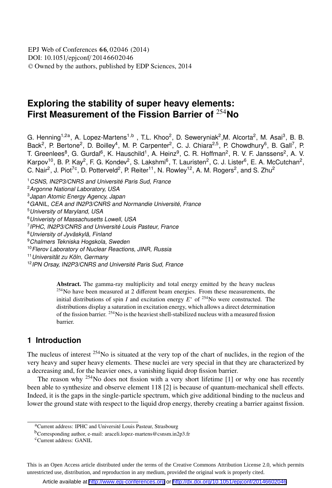# **Exploring the stability of super heavy elements: First Measurement of the Fission Barrier of** <sup>254</sup>**No**

G. Henning<sup>1,2a</sup>, A. Lopez-Martens<sup>1,b</sup>, T.L. Khoo<sup>2</sup>, D. Seweryniak<sup>2</sup>,M. Alcorta<sup>2</sup>, M. Asai<sup>3</sup>, B. B. Back<sup>2</sup>, P. Bertone<sup>2</sup>, D. Boilley<sup>4</sup>, M. P. Carpenter<sup>2</sup>, C. J. Chiara<sup>2,5</sup>, P. Chowdhury<sup>6</sup>, B. Gall<sup>7</sup>, P. T. Greenlees<sup>8</sup>, G. Gurdal<sup>6</sup>, K. Hauschild<sup>1</sup>, A. Heinz<sup>9</sup>, C. R. Hoffman<sup>2</sup>, R. V. F. Janssens<sup>2</sup>, A. V. Karpov<sup>10</sup>, B. P. Kay<sup>2</sup>, F. G. Kondev<sup>2</sup>, S. Lakshmi<sup>6</sup>, T. Lauristen<sup>2</sup>, C. J. Lister<sup>6</sup>, E. A. McCutchan<sup>2</sup>, C. Nair<sup>2</sup>, J. Piot<sup>7c</sup>, D. Potterveld<sup>2</sup>, P. Reiter<sup>11</sup>, N. Rowley<sup>12</sup>, A. M. Rogers<sup>2</sup>, and S. Zhu<sup>2</sup>

<sup>1</sup> CSNS, IN2P3/CNRS and Université Paris Sud, France

<sup>2</sup>Argonne National Laboratory, USA

3 Japan Atomic Energy Agency, Japan

<sup>4</sup>GANIL, CEA and IN2P3/CNRS and Normandie Université, France

<sup>5</sup>University of Maryland, USA

<sup>6</sup>Univeristy of Massachusetts Lowell, USA

<sup>7</sup> IPHC, IN2P3/CNRS and Université Louis Pasteur, France

<sup>8</sup>Unviersity of Jyväskylä, Finland

<sup>9</sup>Chalmers Tekniska Hogskola, Sweden

<sup>10</sup> Flerov Laboratory of Nuclear Reactions, JINR, Russia

<sup>11</sup>Universität zu Köln, Germany

<sup>12</sup>IPN Orsay, IN2P3/CNRS and Université Paris Sud, France

Abstract. The gamma-ray multiplicity and total energy emitted by the heavy nucleus <sup>254</sup>No have been measured at 2 different beam energies. From these measurements, the initial distributions of spin *I* and excitation energy  $E^*$  of <sup>254</sup>No were constructed. The distributions display a saturation in excitation energy, which allows a direct determination of the fission barrier. <sup>254</sup>No is the heaviest shell-stabilized nucleus with a measured fission barrier.

## **1 Introduction**

The nucleus of interest  $254N$ o is situated at the very top of the chart of nuclides, in the region of the very heavy and super heavy elements. These nuclei are very special in that they are characterized by a decreasing and, for the heavier ones, a vanishing liquid drop fission barrier.

The reason why <sup>254</sup>No does not fission with a very short lifetime [1] or why one has recently been able to synthesize and observe element 118 [2] is because of quantum-mechanical shell effects. Indeed, it is the gaps in the single-particle spectrum, which give additional binding to the nucleus and lower the ground state with respect to the liquid drop energy, thereby creating a barrier against fission.

This is an Open Access article distributed under the terms of the Creative Commons Attribution License 2.0, which permits unrestricted use, distribution, and reproduction in any medium, provided the original work is properly cited.

<sup>a</sup>Current address: IPHC and Université Louis Pasteur, Strasbourg

<sup>b</sup>Corresponding author, e-mail: araceli.lopez-martens@csnsm.in2p3.fr

<sup>c</sup>Current address: GANIL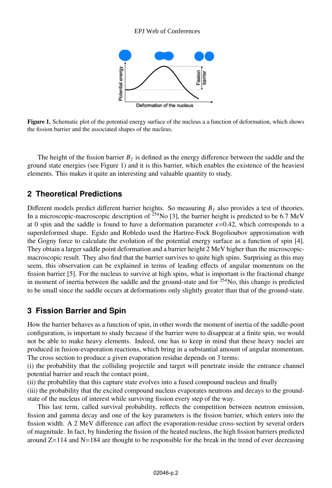

Figure 1. Schematic plot of the potential energy surface of the nucleus a a function of deformation, which shows the fission barrier and the associated shapes of the nucleus.

The height of the fission barrier  $B_f$  is defined as the energy difference between the saddle and the ground state energies (see Figure 1) and it is this barrier, which enables the existence of the heaviest elements. This makes it quite an interesting and valuable quantity to study.

## **2 Theoretical Predictions**

Different models predict different barrier heights. So measuring  $B_f$  also provides a test of theories. In a microscopic-macroscopic description of  $^{254}$ No [3], the barrier height is predicted to be 6.7 MeV at 0 spin and the saddle is found to have a deformation parameter  $\epsilon = 0.42$ , which corresponds to a superdeformed shape. Egido and Robledo used the Hartree-Fock Bogolioubov approximation with the Gogny force to calculate the evolution of the potential energy surface as a function of spin [4]. They obtain a larger saddle point deformation and a barrier height 2 MeV higher than the microscopicmacroscopic result. They also find that the barrier survives to quite high spins. Surprising as this may seem, this observation can be explained in terms of leading effects of angular momentum on the fission barrier [5]. For the nucleus to survive at high spins, what is important is the fractional change in moment of inertia between the saddle and the ground-state and for <sup>254</sup>No, this change is predicted to be small since the saddle occurs at deformations only slightly greater than that of the ground-state.

## **3 Fission Barrier and Spin**

How the barrier behaves as a function of spin, in other words the moment of inertia of the saddle-point configuration, is important to study because if the barrier were to disappear at a finite spin, we would not be able to make heavy elements. Indeed, one has to keep in mind that these heavy nuclei are produced in fusion-evaporation reactions, which bring in a substantial amount of angular momentum. The cross section to produce a given evaporation residue depends on 3 terms:

(i) the probability that the colliding projectile and target will penetrate inside the entrance channel potential barrier and reach the contact point,

(ii) the probability that this capture state evolves into a fused compound nucleus and finally

(iii) the probability that the excited compound nucleus evaporates neutrons and decays to the groundstate of the nucleus of interest while surviving fission every step of the way.

This last term, called survival probability, reflects the competition between neutron emission, fission and gamma decay and one of the key parameters is the fission barrier, which enters into the fission width. A 2 MeV difference can affect the evaporation-residue cross-section by several orders of magnitude. In fact, by hindering the fission of the heated nucleus, the high fission barriers predicted around  $Z=114$  and  $N=184$  are thought to be responsible for the break in the trend of ever decreasing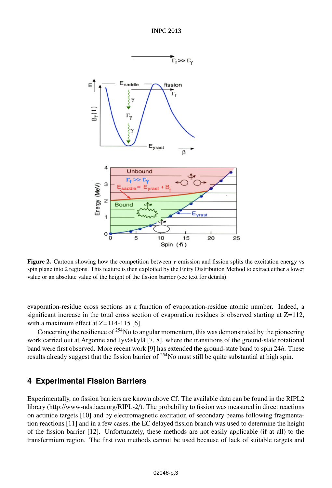

**Figure 2.** Cartoon showing how the competition between  $\gamma$  emission and fission splits the excitation energy vs spin plane into 2 regions. This feature is then exploited by the Entry Distribution Method to extract either a lower value or an absolute value of the height of the fission barrier (see text for details).

evaporation-residue cross sections as a function of evaporation-residue atomic number. Indeed, a significant increase in the total cross section of evaporation residues is observed starting at  $Z=112$ , with a maximum effect at  $Z=114-115$  [6].

Concerning the resilience of  $254$ No to angular momentum, this was demonstrated by the pioneering work carried out at Argonne and Jyväskylä [7, 8], where the transitions of the ground-state rotational band were first observed. More recent work [9] has extended the ground-state band to spin  $24\hbar$ . These results already suggest that the fission barrier of <sup>254</sup>No must still be quite substantial at high spin.

## **4 Experimental Fission Barriers**

Experimentally, no fission barriers are known above Cf. The available data can be found in the RIPL2 library (http://www-nds.iaea.org/RIPL-2/). The probability to fission was measured in direct reactions on actinide targets [10] and by electromagnetic excitation of secondary beams following fragmentation reactions [11] and in a few cases, the EC delayed fission branch was used to determine the height of the fission barrier [12]. Unfortunately, these methods are not easily applicable (if at all) to the transfermium region. The first two methods cannot be used because of lack of suitable targets and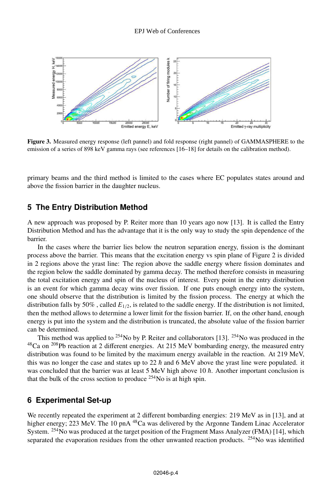

Figure 3. Measured energy response (left pannel) and fold response (right pannel) of GAMMASPHERE to the emission of a series of 898 keV gamma rays (see references [16–18] for details on the calibration method).

primary beams and the third method is limited to the cases where EC populates states around and above the fission barrier in the daughter nucleus.

### **5 The Entry Distribution Method**

A new approach was proposed by P. Reiter more than 10 years ago now [13]. It is called the Entry Distribution Method and has the advantage that it is the only way to study the spin dependence of the barrier.

In the cases where the barrier lies below the neutron separation energy, fission is the dominant process above the barrier. This means that the excitation energy vs spin plane of Figure 2 is divided in 2 regions above the yrast line: The region above the saddle energy where fission dominates and the region below the saddle dominated by gamma decay. The method therefore consists in measuring the total excitation energy and spin of the nucleus of interest. Every point in the entry distribution is an event for which gamma decay wins over fission. If one puts enough energy into the system, one should observe that the distribution is limited by the fission process. The energy at which the distribution falls by 50%, called  $E_{1/2}$ , is related to the saddle energy. If the distribution is not limited, then the method allows to determine a lower limit for the fission barrier. If, on the other hand, enough energy is put into the system and the distribution is truncated, the absolute value of the fission barrier can be determined.

This method was applied to <sup>254</sup>No by P. Reiter and collaborators [13]. <sup>254</sup>No was produced in the  $^{48}$ Ca on <sup>208</sup>Pb reaction at 2 different energies. At 215 MeV bombarding energy, the measured entry distribution was found to be limited by the maximum energy available in the reaction. At 219 MeV, this was no longer the case and states up to 22  $\hbar$  and 6 MeV above the yrast line were populated. it was concluded that the barrier was at least 5 MeV high above 10  $\hbar$ . Another important conclusion is that the bulk of the cross section to produce  $^{254}$ No is at high spin.

## **6 Experimental Set-up**

We recently repeated the experiment at 2 different bombarding energies: 219 MeV as in [13], and at higher energy; 223 MeV. The 10 pnA<sup>48</sup>Ca was delivered by the Argonne Tandem Linac Accelerator System. <sup>254</sup>No was produced at the target position of the Fragment Mass Analyzer (FMA) [14], which separated the evaporation residues from the other unwanted reaction products. <sup>254</sup>No was identified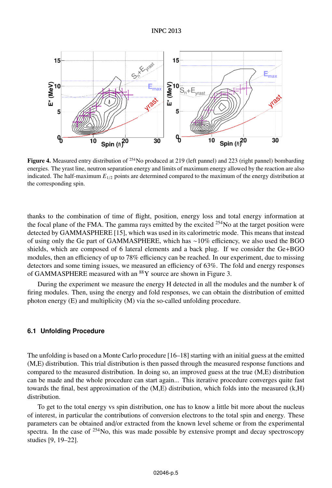

**Figure 4.** Measured entry distribution of <sup>254</sup>No produced at 219 (left pannel) and 223 (right pannel) bombarding energies. The yrast line, neutron separation energy and limits of maximum energy allowed by the reaction are also indicated. The half-maximum *E*1/<sup>2</sup> points are determined compared to the maximum of the energy distribution at the corresponding spin.

thanks to the combination of time of flight, position, energy loss and total energy information at the focal plane of the FMA. The gamma rays emitted by the excited  $^{254}$ No at the target position were detected by GAMMASPHERE [15], which was used in its calorimetric mode. This means that instead of using only the Ge part of GAMMASPHERE, which has ∼10% efficiency, we also used the BGO shields, which are composed of 6 lateral elements and a back plug. If we consider the Ge+BGO modules, then an efficiency of up to 78% efficiency can be reached. In our experiment, due to missing detectors and some timing issues, we measured an efficiency of 63%. The fold and energy responses of GAMMASPHERE measured with an <sup>88</sup>Y source are shown in Figure 3.

During the experiment we measure the energy H detected in all the modules and the number k of firing modules. Then, using the energy and fold responses, we can obtain the distribution of emitted photon energy (E) and multiplicity (M) via the so-called unfolding procedure.

#### **6.1 Unfolding Procedure**

The unfolding is based on a Monte Carlo procedure [16–18] starting with an initial guess at the emitted (M,E) distribution. This trial distribution is then passed through the measured response functions and compared to the measured distribution. In doing so, an improved guess at the true (M,E) distribution can be made and the whole procedure can start again... This iterative procedure converges quite fast towards the final, best approximation of the (M,E) distribution, which folds into the measured (k,H) distribution.

To get to the total energy vs spin distribution, one has to know a little bit more about the nucleus of interest, in particular the contributions of conversion electrons to the total spin and energy. These parameters can be obtained and/or extracted from the known level scheme or from the experimental spectra. In the case of  $254N<sub>O</sub>$ , this was made possible by extensive prompt and decay spectroscopy studies [9, 19–22].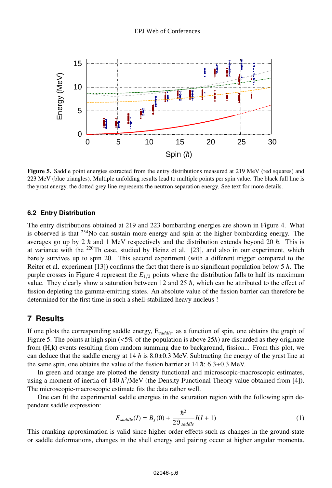

Figure 5. Saddle point energies extracted from the entry distributions measured at 219 MeV (red squares) and 223 MeV (blue triangles). Multiple unfolding results lead to multiple points per spin value. The black full line is the yrast energy, the dotted grey line represents the neutron separation energy. See text for more details.

#### **6.2 Entry Distribution**

The entry distributions obtained at 219 and 223 bombarding energies are shown in Figure 4. What is observed is that <sup>254</sup>No can sustain more energy and spin at the higher bombarding energy. The averages go up by 2  $\hbar$  and 1 MeV respectively and the distribution extends beyond 20  $\hbar$ . This is at variance with the <sup>220</sup>Th case, studied by Heinz et al. [23], and also in our experiment, which barely survives up to spin 20. This second experiment (with a different trigger compared to the Reiter et al. experiment [13]) confirms the fact that there is no significant population below 5  $\hbar$ . The purple crosses in Figure 4 represent the  $E_{1/2}$  points where the distribution falls to half its maximum value. They clearly show a saturation between 12 and 25  $\hbar$ , which can be attributed to the effect of fission depleting the gamma-emitting states. An absolute value of the fission barrier can therefore be determined for the first time in such a shell-stabilized heavy nucleus !

### **7 Results**

If one plots the corresponding saddle energy, E*saddle*, as a function of spin, one obtains the graph of Figure 5. The points at high spin ( $\langle 5\%$  of the population is above  $25\hbar$ ) are discarded as they originate from (H,k) events resulting from random summing due to background, fission... From this plot, we can deduce that the saddle energy at 14  $h$  is 8.0±0.3 MeV. Subtracting the energy of the yrast line at the same spin, one obtains the value of the fission barrier at  $14 \hbar$ :  $6.3 \pm 0.3$  MeV.

In green and orange are plotted the density functional and microscopic-macroscopic estimates, using a moment of inertia of 140  $\hbar^2$ /MeV (the Density Functional Theory value obtained from [4]). The microscopic-macroscopic estimate fits the data rather well.

One can fit the experimental saddle energies in the saturation region with the following spin dependent saddle expression:

$$
E_{saddle}(I) = B_f(0) + \frac{\hbar^2}{2\mathfrak{I}_{saddle}}I(I+1)
$$
\n(1)

This cranking approximation is valid since higher order effects such as changes in the ground-state or saddle deformations, changes in the shell energy and pairing occur at higher angular momenta.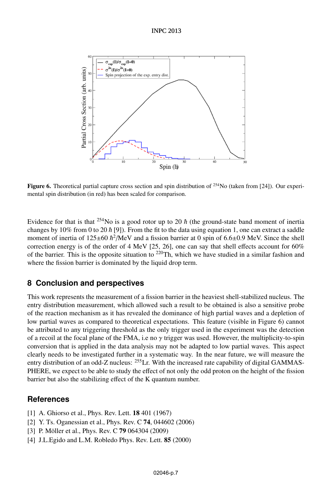#### **INPC 2013**



**Figure 6.** Theoretical partial capture cross section and spin distribution of  $254No$  (taken from [24]). Our experimental spin distribution (in red) has been scaled for comparison.

Evidence for that is that <sup>254</sup>No is a good rotor up to 20  $\hbar$  (the ground-state band moment of inertia changes by 10% from 0 to 20  $\hbar$  [9]). From the fit to the data using equation 1, one can extract a saddle moment of inertia of  $125 \pm 60 \hbar^2/\text{MeV}$  and a fission barrier at 0 spin of 6.6 $\pm$ 0.9 MeV. Since the shell correction energy is of the order of 4 MeV [25, 26], one can say that shell effects account for  $60\%$ of the barrier. This is the opposite situation to  $2^{20}$ Th, which we have studied in a similar fashion and where the fission barrier is dominated by the liquid drop term.

## **8 Conclusion and perspectives**

This work represents the measurement of a fission barrier in the heaviest shell-stabilized nucleus. The entry distribution measurement, which allowed such a result to be obtained is also a sensitive probe of the reaction mechanism as it has revealed the dominance of high partial waves and a depletion of low partial waves as compared to theoretical expectations. This feature (visible in Figure 6) cannot be attributed to any triggering threshold as the only trigger used in the experiment was the detection of a recoil at the focal plane of the FMA, i.e no  $\gamma$  trigger was used. However, the multiplicity-to-spin conversion that is applied in the data analysis may not be adapted to low partial waves. This aspect clearly needs to be investigated further in a systematic way. In the near future, we will measure the entry distribution of an odd-Z nucleus: <sup>255</sup>Lr. With the increased rate capability of digital GAMMAS-PHERE, we expect to be able to study the effect of not only the odd proton on the height of the fission barrier but also the stabilizing effect of the K quantum number.

## **References**

- [1] A. Ghiorso et al., Phys. Rev. Lett. **18** 401 (1967)
- [2] Y. Ts. Oganessian et al., Phys. Rev. C **74**, 044602 (2006)
- [3] P. Möller et al., Phys. Rev. C 79 064304 (2009)
- [4] J.L.Egido and L.M. Robledo Phys. Rev. Lett. 85 (2000)